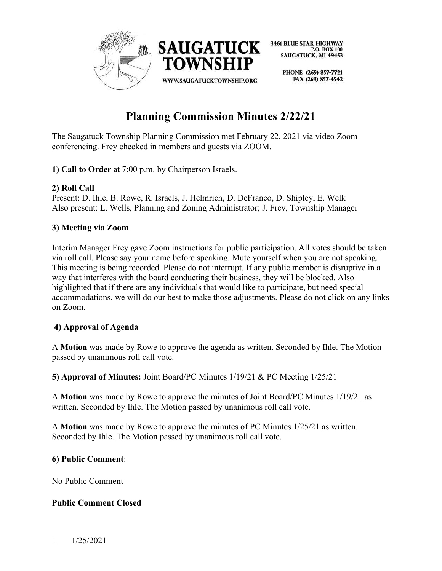

> PHONE (269) 857-7721 FAX (269) 857-4542

# **Planning Commission Minutes 2/22/21**

The Saugatuck Township Planning Commission met February 22, 2021 via video Zoom conferencing. Frey checked in members and guests via ZOOM.

**1) Call to Order** at 7:00 p.m. by Chairperson Israels.

# **2) Roll Call**

Present: D. Ihle, B. Rowe, R. Israels, J. Helmrich, D. DeFranco, D. Shipley, E. Welk Also present: L. Wells, Planning and Zoning Administrator; J. Frey, Township Manager

### **3) Meeting via Zoom**

Interim Manager Frey gave Zoom instructions for public participation. All votes should be taken via roll call. Please say your name before speaking. Mute yourself when you are not speaking. This meeting is being recorded. Please do not interrupt. If any public member is disruptive in a way that interferes with the board conducting their business, they will be blocked. Also highlighted that if there are any individuals that would like to participate, but need special accommodations, we will do our best to make those adjustments. Please do not click on any links on Zoom.

# **4) Approval of Agenda**

A **Motion** was made by Rowe to approve the agenda as written. Seconded by Ihle. The Motion passed by unanimous roll call vote.

**5) Approval of Minutes:** Joint Board/PC Minutes 1/19/21 & PC Meeting 1/25/21

A **Motion** was made by Rowe to approve the minutes of Joint Board/PC Minutes 1/19/21 as written. Seconded by Ihle. The Motion passed by unanimous roll call vote.

A **Motion** was made by Rowe to approve the minutes of PC Minutes 1/25/21 as written. Seconded by Ihle. The Motion passed by unanimous roll call vote.

#### **6) Public Comment**:

No Public Comment

#### **Public Comment Closed**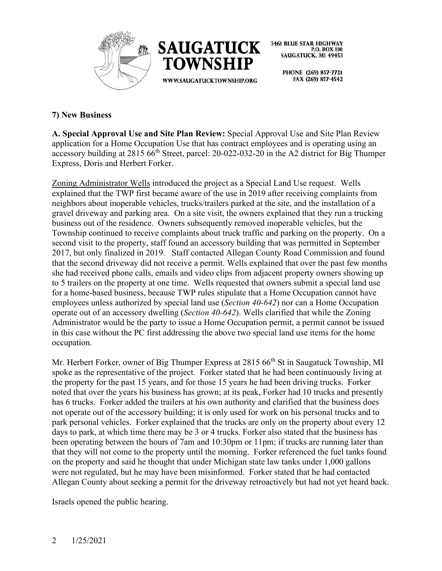

> PHONE (269) 857-7721 FAX (269) 857-4542

# **7) New Business**

**A. Special Approval Use and Site Plan Review:** Special Approval Use and Site Plan Review application for a Home Occupation Use that has contract employees and is operating using an accessory building at 2815 66<sup>th</sup> Street, parcel: 20-022-032-20 in the A2 district for Big Thumper Express, Doris and Herbert Forker.

Zoning Administrator Wells introduced the project as a Special Land Use request. Wells explained that the TWP first became aware of the use in 2019 after receiving complaints from neighbors about inoperable vehicles, trucks/trailers parked at the site, and the installation of a gravel driveway and parking area. On a site visit, the owners explained that they run a trucking business out of the residence. Owners subsequently removed inoperable vehicles, but the Township continued to receive complaints about truck traffic and parking on the property. On a second visit to the property, staff found an accessory building that was permitted in September 2017, but only finalized in 2019. Staff contacted Allegan County Road Commission and found that the second driveway did not receive a permit. Wells explained that over the past few months she had received phone calls, emails and video clips from adjacent property owners showing up to 5 trailers on the property at one time. Wells requested that owners submit a special land use for a home-based business, because TWP rules stipulate that a Home Occupation cannot have employees unless authorized by special land use (*Section 40-642*) nor can a Home Occupation operate out of an accessory dwelling (*Section 40-642*). Wells clarified that while the Zoning Administrator would be the party to issue a Home Occupation permit, a permit cannot be issued in this case without the PC first addressing the above two special land use items for the home occupation.

Mr. Herbert Forker, owner of Big Thumper Express at 2815 66<sup>th</sup> St in Saugatuck Township, MI spoke as the representative of the project. Forker stated that he had been continuously living at the property for the past 15 years, and for those 15 years he had been driving trucks. Forker noted that over the years his business has grown; at its peak, Forker had 10 trucks and presently has 6 trucks. Forker added the trailers at his own authority and clarified that the business does not operate out of the accessory building; it is only used for work on his personal trucks and to park personal vehicles. Forker explained that the trucks are only on the property about every 12 days to park, at which time there may be 3 or 4 trucks. Forker also stated that the business has been operating between the hours of 7am and 10:30pm or 11pm; if trucks are running later than that they will not come to the property until the morning. Forker referenced the fuel tanks found on the property and said he thought that under Michigan state law tanks under 1,000 gallons were not regulated, but he may have been misinformed. Forker stated that he had contacted Allegan County about seeking a permit for the driveway retroactively but had not yet heard back.

Israels opened the public hearing.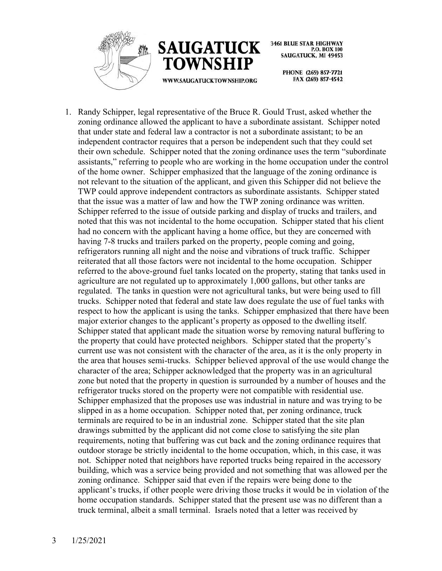



> PHONE (269) 857-7721 FAX (269) 857-4542

1. Randy Schipper, legal representative of the Bruce R. Gould Trust, asked whether the zoning ordinance allowed the applicant to have a subordinate assistant. Schipper noted that under state and federal law a contractor is not a subordinate assistant; to be an independent contractor requires that a person be independent such that they could set their own schedule. Schipper noted that the zoning ordinance uses the term "subordinate assistants," referring to people who are working in the home occupation under the control of the home owner. Schipper emphasized that the language of the zoning ordinance is not relevant to the situation of the applicant, and given this Schipper did not believe the TWP could approve independent contractors as subordinate assistants. Schipper stated that the issue was a matter of law and how the TWP zoning ordinance was written. Schipper referred to the issue of outside parking and display of trucks and trailers, and noted that this was not incidental to the home occupation. Schipper stated that his client had no concern with the applicant having a home office, but they are concerned with having 7-8 trucks and trailers parked on the property, people coming and going, refrigerators running all night and the noise and vibrations of truck traffic. Schipper reiterated that all those factors were not incidental to the home occupation. Schipper referred to the above-ground fuel tanks located on the property, stating that tanks used in agriculture are not regulated up to approximately 1,000 gallons, but other tanks are regulated. The tanks in question were not agricultural tanks, but were being used to fill trucks. Schipper noted that federal and state law does regulate the use of fuel tanks with respect to how the applicant is using the tanks. Schipper emphasized that there have been major exterior changes to the applicant's property as opposed to the dwelling itself. Schipper stated that applicant made the situation worse by removing natural buffering to the property that could have protected neighbors. Schipper stated that the property's current use was not consistent with the character of the area, as it is the only property in the area that houses semi-trucks. Schipper believed approval of the use would change the character of the area; Schipper acknowledged that the property was in an agricultural zone but noted that the property in question is surrounded by a number of houses and the refrigerator trucks stored on the property were not compatible with residential use. Schipper emphasized that the proposes use was industrial in nature and was trying to be slipped in as a home occupation. Schipper noted that, per zoning ordinance, truck terminals are required to be in an industrial zone. Schipper stated that the site plan drawings submitted by the applicant did not come close to satisfying the site plan requirements, noting that buffering was cut back and the zoning ordinance requires that outdoor storage be strictly incidental to the home occupation, which, in this case, it was not. Schipper noted that neighbors have reported trucks being repaired in the accessory building, which was a service being provided and not something that was allowed per the zoning ordinance. Schipper said that even if the repairs were being done to the applicant's trucks, if other people were driving those trucks it would be in violation of the home occupation standards. Schipper stated that the present use was no different than a truck terminal, albeit a small terminal. Israels noted that a letter was received by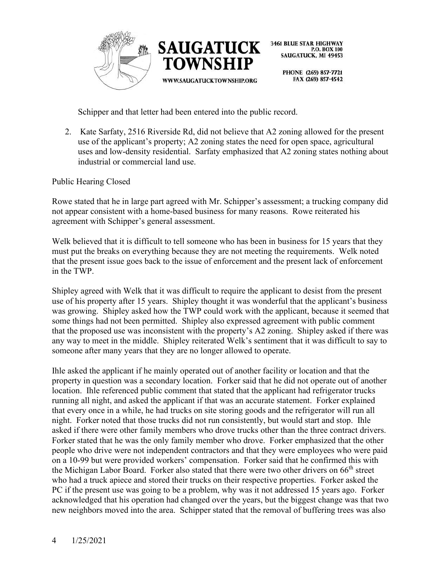



PHONE (269) 857-7721 FAX (269) 857-4542

Schipper and that letter had been entered into the public record.

2. Kate Sarfaty, 2516 Riverside Rd, did not believe that A2 zoning allowed for the present use of the applicant's property; A2 zoning states the need for open space, agricultural uses and low-density residential. Sarfaty emphasized that A2 zoning states nothing about industrial or commercial land use.

Public Hearing Closed

Rowe stated that he in large part agreed with Mr. Schipper's assessment; a trucking company did not appear consistent with a home-based business for many reasons. Rowe reiterated his agreement with Schipper's general assessment.

Welk believed that it is difficult to tell someone who has been in business for 15 years that they must put the breaks on everything because they are not meeting the requirements. Welk noted that the present issue goes back to the issue of enforcement and the present lack of enforcement in the TWP.

Shipley agreed with Welk that it was difficult to require the applicant to desist from the present use of his property after 15 years. Shipley thought it was wonderful that the applicant's business was growing. Shipley asked how the TWP could work with the applicant, because it seemed that some things had not been permitted. Shipley also expressed agreement with public comment that the proposed use was inconsistent with the property's A2 zoning. Shipley asked if there was any way to meet in the middle. Shipley reiterated Welk's sentiment that it was difficult to say to someone after many years that they are no longer allowed to operate.

Ihle asked the applicant if he mainly operated out of another facility or location and that the property in question was a secondary location. Forker said that he did not operate out of another location. Ihle referenced public comment that stated that the applicant had refrigerator trucks running all night, and asked the applicant if that was an accurate statement. Forker explained that every once in a while, he had trucks on site storing goods and the refrigerator will run all night. Forker noted that those trucks did not run consistently, but would start and stop. Ihle asked if there were other family members who drove trucks other than the three contract drivers. Forker stated that he was the only family member who drove. Forker emphasized that the other people who drive were not independent contractors and that they were employees who were paid on a 10-99 but were provided workers' compensation. Forker said that he confirmed this with the Michigan Labor Board. Forker also stated that there were two other drivers on  $66<sup>th</sup>$  street who had a truck apiece and stored their trucks on their respective properties. Forker asked the PC if the present use was going to be a problem, why was it not addressed 15 years ago. Forker acknowledged that his operation had changed over the years, but the biggest change was that two new neighbors moved into the area. Schipper stated that the removal of buffering trees was also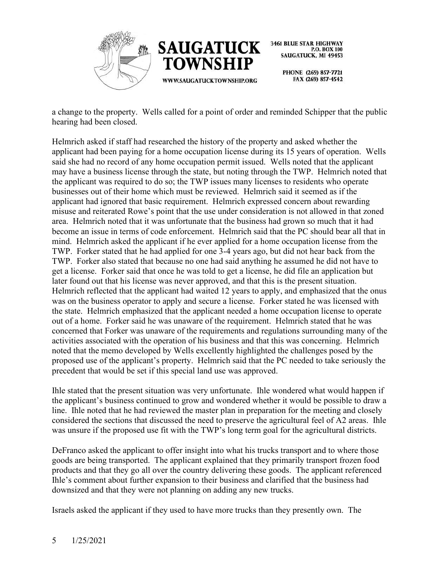



> PHONE (269) 857-7721 FAX (269) 857-4542

a change to the property. Wells called for a point of order and reminded Schipper that the public hearing had been closed.

Helmrich asked if staff had researched the history of the property and asked whether the applicant had been paying for a home occupation license during its 15 years of operation. Wells said she had no record of any home occupation permit issued. Wells noted that the applicant may have a business license through the state, but noting through the TWP. Helmrich noted that the applicant was required to do so; the TWP issues many licenses to residents who operate businesses out of their home which must be reviewed. Helmrich said it seemed as if the applicant had ignored that basic requirement. Helmrich expressed concern about rewarding misuse and reiterated Rowe's point that the use under consideration is not allowed in that zoned area. Helmrich noted that it was unfortunate that the business had grown so much that it had become an issue in terms of code enforcement. Helmrich said that the PC should bear all that in mind. Helmrich asked the applicant if he ever applied for a home occupation license from the TWP. Forker stated that he had applied for one 3-4 years ago, but did not hear back from the TWP. Forker also stated that because no one had said anything he assumed he did not have to get a license. Forker said that once he was told to get a license, he did file an application but later found out that his license was never approved, and that this is the present situation. Helmrich reflected that the applicant had waited 12 years to apply, and emphasized that the onus was on the business operator to apply and secure a license. Forker stated he was licensed with the state. Helmrich emphasized that the applicant needed a home occupation license to operate out of a home. Forker said he was unaware of the requirement. Helmrich stated that he was concerned that Forker was unaware of the requirements and regulations surrounding many of the activities associated with the operation of his business and that this was concerning. Helmrich noted that the memo developed by Wells excellently highlighted the challenges posed by the proposed use of the applicant's property. Helmrich said that the PC needed to take seriously the precedent that would be set if this special land use was approved.

Ihle stated that the present situation was very unfortunate. Ihle wondered what would happen if the applicant's business continued to grow and wondered whether it would be possible to draw a line. Ihle noted that he had reviewed the master plan in preparation for the meeting and closely considered the sections that discussed the need to preserve the agricultural feel of A2 areas. Ihle was unsure if the proposed use fit with the TWP's long term goal for the agricultural districts.

DeFranco asked the applicant to offer insight into what his trucks transport and to where those goods are being transported. The applicant explained that they primarily transport frozen food products and that they go all over the country delivering these goods. The applicant referenced Ihle's comment about further expansion to their business and clarified that the business had downsized and that they were not planning on adding any new trucks.

Israels asked the applicant if they used to have more trucks than they presently own. The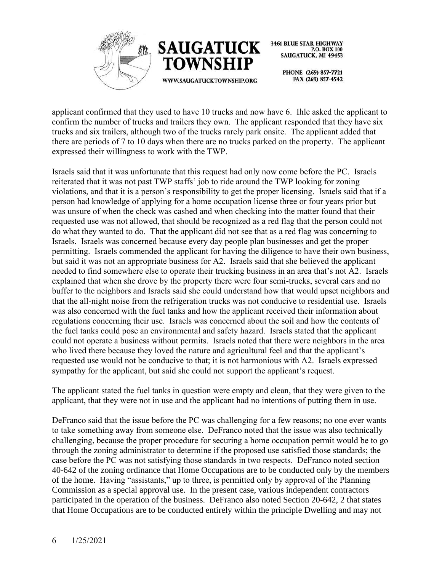



> PHONE (269) 857-7721 FAX (269) 857-4542

applicant confirmed that they used to have 10 trucks and now have 6. Ihle asked the applicant to confirm the number of trucks and trailers they own. The applicant responded that they have six trucks and six trailers, although two of the trucks rarely park onsite. The applicant added that there are periods of 7 to 10 days when there are no trucks parked on the property. The applicant expressed their willingness to work with the TWP.

Israels said that it was unfortunate that this request had only now come before the PC. Israels reiterated that it was not past TWP staffs' job to ride around the TWP looking for zoning violations, and that it is a person's responsibility to get the proper licensing. Israels said that if a person had knowledge of applying for a home occupation license three or four years prior but was unsure of when the check was cashed and when checking into the matter found that their requested use was not allowed, that should be recognized as a red flag that the person could not do what they wanted to do. That the applicant did not see that as a red flag was concerning to Israels. Israels was concerned because every day people plan businesses and get the proper permitting. Israels commended the applicant for having the diligence to have their own business, but said it was not an appropriate business for A2. Israels said that she believed the applicant needed to find somewhere else to operate their trucking business in an area that's not A2. Israels explained that when she drove by the property there were four semi-trucks, several cars and no buffer to the neighbors and Israels said she could understand how that would upset neighbors and that the all-night noise from the refrigeration trucks was not conducive to residential use. Israels was also concerned with the fuel tanks and how the applicant received their information about regulations concerning their use. Israels was concerned about the soil and how the contents of the fuel tanks could pose an environmental and safety hazard. Israels stated that the applicant could not operate a business without permits. Israels noted that there were neighbors in the area who lived there because they loved the nature and agricultural feel and that the applicant's requested use would not be conducive to that; it is not harmonious with A2. Israels expressed sympathy for the applicant, but said she could not support the applicant's request.

The applicant stated the fuel tanks in question were empty and clean, that they were given to the applicant, that they were not in use and the applicant had no intentions of putting them in use.

DeFranco said that the issue before the PC was challenging for a few reasons; no one ever wants to take something away from someone else. DeFranco noted that the issue was also technically challenging, because the proper procedure for securing a home occupation permit would be to go through the zoning administrator to determine if the proposed use satisfied those standards; the case before the PC was not satisfying those standards in two respects. DeFranco noted section 40-642 of the zoning ordinance that Home Occupations are to be conducted only by the members of the home. Having "assistants," up to three, is permitted only by approval of the Planning Commission as a special approval use. In the present case, various independent contractors participated in the operation of the business. DeFranco also noted Section 20-642, 2 that states that Home Occupations are to be conducted entirely within the principle Dwelling and may not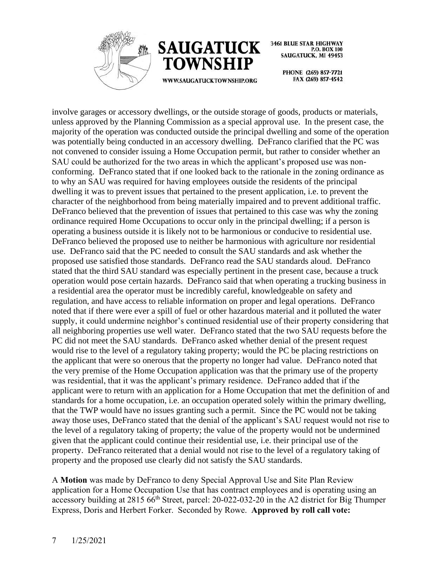



WWW.SAUGATUCKTOWNSHIP.ORG

**3461 BLUE STAR HIGHWAY** P.O. BOX 100 **SAUGATUCK, MI 49453** 

> PHONE (269) 857-7721 FAX (269) 857-4542

involve garages or accessory dwellings, or the outside storage of goods, products or materials, unless approved by the Planning Commission as a special approval use. In the present case, the majority of the operation was conducted outside the principal dwelling and some of the operation was potentially being conducted in an accessory dwelling. DeFranco clarified that the PC was not convened to consider issuing a Home Occupation permit, but rather to consider whether an SAU could be authorized for the two areas in which the applicant's proposed use was nonconforming. DeFranco stated that if one looked back to the rationale in the zoning ordinance as to why an SAU was required for having employees outside the residents of the principal dwelling it was to prevent issues that pertained to the present application, i.e. to prevent the character of the neighborhood from being materially impaired and to prevent additional traffic. DeFranco believed that the prevention of issues that pertained to this case was why the zoning ordinance required Home Occupations to occur only in the principal dwelling; if a person is operating a business outside it is likely not to be harmonious or conducive to residential use. DeFranco believed the proposed use to neither be harmonious with agriculture nor residential use. DeFranco said that the PC needed to consult the SAU standards and ask whether the proposed use satisfied those standards. DeFranco read the SAU standards aloud. DeFranco stated that the third SAU standard was especially pertinent in the present case, because a truck operation would pose certain hazards. DeFranco said that when operating a trucking business in a residential area the operator must be incredibly careful, knowledgeable on safety and regulation, and have access to reliable information on proper and legal operations. DeFranco noted that if there were ever a spill of fuel or other hazardous material and it polluted the water supply, it could undermine neighbor's continued residential use of their property considering that all neighboring properties use well water. DeFranco stated that the two SAU requests before the PC did not meet the SAU standards. DeFranco asked whether denial of the present request would rise to the level of a regulatory taking property; would the PC be placing restrictions on the applicant that were so onerous that the property no longer had value. DeFranco noted that the very premise of the Home Occupation application was that the primary use of the property was residential, that it was the applicant's primary residence. DeFranco added that if the applicant were to return with an application for a Home Occupation that met the definition of and standards for a home occupation, i.e. an occupation operated solely within the primary dwelling, that the TWP would have no issues granting such a permit. Since the PC would not be taking away those uses, DeFranco stated that the denial of the applicant's SAU request would not rise to the level of a regulatory taking of property; the value of the property would not be undermined given that the applicant could continue their residential use, i.e. their principal use of the property. DeFranco reiterated that a denial would not rise to the level of a regulatory taking of property and the proposed use clearly did not satisfy the SAU standards.

A **Motion** was made by DeFranco to deny Special Approval Use and Site Plan Review application for a Home Occupation Use that has contract employees and is operating using an accessory building at 2815 66<sup>th</sup> Street, parcel: 20-022-032-20 in the A2 district for Big Thumper Express, Doris and Herbert Forker. Seconded by Rowe. **Approved by roll call vote:**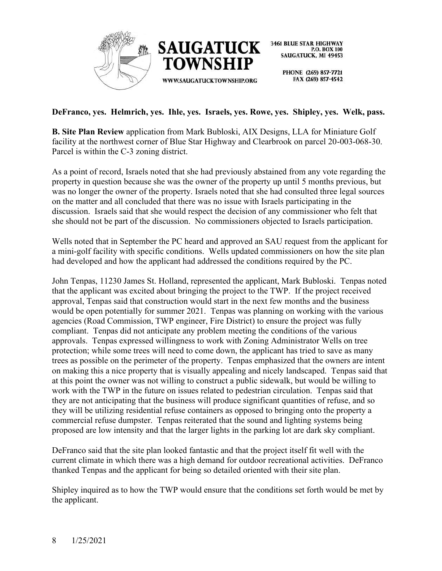

> PHONE (269) 857-7721 FAX (269) 857-4542

### **DeFranco, yes. Helmrich, yes. Ihle, yes. Israels, yes. Rowe, yes. Shipley, yes. Welk, pass.**

**B. Site Plan Review** application from Mark Bubloski, AIX Designs, LLA for Miniature Golf facility at the northwest corner of Blue Star Highway and Clearbrook on parcel 20-003-068-30. Parcel is within the C-3 zoning district.

As a point of record, Israels noted that she had previously abstained from any vote regarding the property in question because she was the owner of the property up until 5 months previous, but was no longer the owner of the property. Israels noted that she had consulted three legal sources on the matter and all concluded that there was no issue with Israels participating in the discussion. Israels said that she would respect the decision of any commissioner who felt that she should not be part of the discussion. No commissioners objected to Israels participation.

Wells noted that in September the PC heard and approved an SAU request from the applicant for a mini-golf facility with specific conditions. Wells updated commissioners on how the site plan had developed and how the applicant had addressed the conditions required by the PC.

John Tenpas, 11230 James St. Holland, represented the applicant, Mark Bubloski. Tenpas noted that the applicant was excited about bringing the project to the TWP. If the project received approval, Tenpas said that construction would start in the next few months and the business would be open potentially for summer 2021. Tenpas was planning on working with the various agencies (Road Commission, TWP engineer, Fire District) to ensure the project was fully compliant. Tenpas did not anticipate any problem meeting the conditions of the various approvals. Tenpas expressed willingness to work with Zoning Administrator Wells on tree protection; while some trees will need to come down, the applicant has tried to save as many trees as possible on the perimeter of the property. Tenpas emphasized that the owners are intent on making this a nice property that is visually appealing and nicely landscaped. Tenpas said that at this point the owner was not willing to construct a public sidewalk, but would be willing to work with the TWP in the future on issues related to pedestrian circulation. Tenpas said that they are not anticipating that the business will produce significant quantities of refuse, and so they will be utilizing residential refuse containers as opposed to bringing onto the property a commercial refuse dumpster. Tenpas reiterated that the sound and lighting systems being proposed are low intensity and that the larger lights in the parking lot are dark sky compliant.

DeFranco said that the site plan looked fantastic and that the project itself fit well with the current climate in which there was a high demand for outdoor recreational activities. DeFranco thanked Tenpas and the applicant for being so detailed oriented with their site plan.

Shipley inquired as to how the TWP would ensure that the conditions set forth would be met by the applicant.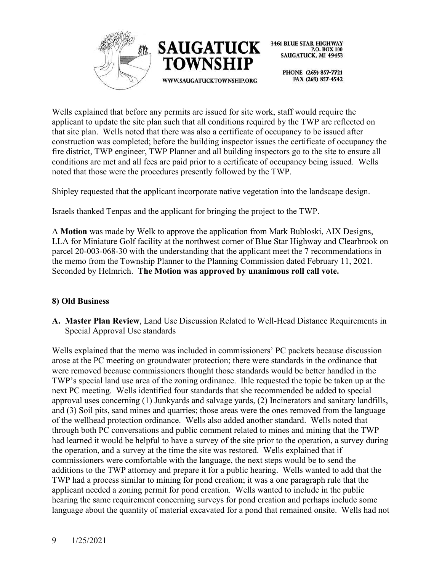



> PHONE (269) 857-7721 FAX (269) 857-4542

Wells explained that before any permits are issued for site work, staff would require the applicant to update the site plan such that all conditions required by the TWP are reflected on that site plan. Wells noted that there was also a certificate of occupancy to be issued after construction was completed; before the building inspector issues the certificate of occupancy the fire district, TWP engineer, TWP Planner and all building inspectors go to the site to ensure all conditions are met and all fees are paid prior to a certificate of occupancy being issued. Wells noted that those were the procedures presently followed by the TWP.

Shipley requested that the applicant incorporate native vegetation into the landscape design.

Israels thanked Tenpas and the applicant for bringing the project to the TWP.

A **Motion** was made by Welk to approve the application from Mark Bubloski, AIX Designs, LLA for Miniature Golf facility at the northwest corner of Blue Star Highway and Clearbrook on parcel 20-003-068-30 with the understanding that the applicant meet the 7 recommendations in the memo from the Township Planner to the Planning Commission dated February 11, 2021. Seconded by Helmrich. **The Motion was approved by unanimous roll call vote.**

# **8) Old Business**

**A. Master Plan Review**, Land Use Discussion Related to Well-Head Distance Requirements in Special Approval Use standards

Wells explained that the memo was included in commissioners' PC packets because discussion arose at the PC meeting on groundwater protection; there were standards in the ordinance that were removed because commissioners thought those standards would be better handled in the TWP's special land use area of the zoning ordinance. Ihle requested the topic be taken up at the next PC meeting. Wells identified four standards that she recommended be added to special approval uses concerning (1) Junkyards and salvage yards, (2) Incinerators and sanitary landfills, and (3) Soil pits, sand mines and quarries; those areas were the ones removed from the language of the wellhead protection ordinance. Wells also added another standard. Wells noted that through both PC conversations and public comment related to mines and mining that the TWP had learned it would be helpful to have a survey of the site prior to the operation, a survey during the operation, and a survey at the time the site was restored. Wells explained that if commissioners were comfortable with the language, the next steps would be to send the additions to the TWP attorney and prepare it for a public hearing. Wells wanted to add that the TWP had a process similar to mining for pond creation; it was a one paragraph rule that the applicant needed a zoning permit for pond creation. Wells wanted to include in the public hearing the same requirement concerning surveys for pond creation and perhaps include some language about the quantity of material excavated for a pond that remained onsite. Wells had not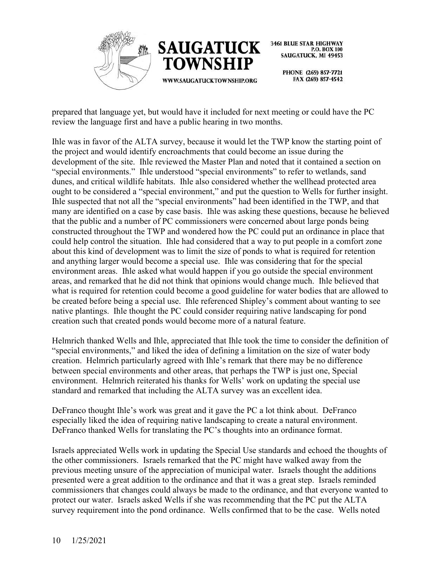



> PHONE (269) 857-7721 FAX (269) 857-4542

prepared that language yet, but would have it included for next meeting or could have the PC review the language first and have a public hearing in two months.

Ihle was in favor of the ALTA survey, because it would let the TWP know the starting point of the project and would identify encroachments that could become an issue during the development of the site. Ihle reviewed the Master Plan and noted that it contained a section on "special environments." Ihle understood "special environments" to refer to wetlands, sand dunes, and critical wildlife habitats. Ihle also considered whether the wellhead protected area ought to be considered a "special environment," and put the question to Wells for further insight. Ihle suspected that not all the "special environments" had been identified in the TWP, and that many are identified on a case by case basis. Ihle was asking these questions, because he believed that the public and a number of PC commissioners were concerned about large ponds being constructed throughout the TWP and wondered how the PC could put an ordinance in place that could help control the situation. Ihle had considered that a way to put people in a comfort zone about this kind of development was to limit the size of ponds to what is required for retention and anything larger would become a special use. Ihle was considering that for the special environment areas. Ihle asked what would happen if you go outside the special environment areas, and remarked that he did not think that opinions would change much. Ihle believed that what is required for retention could become a good guideline for water bodies that are allowed to be created before being a special use. Ihle referenced Shipley's comment about wanting to see native plantings. Ihle thought the PC could consider requiring native landscaping for pond creation such that created ponds would become more of a natural feature.

Helmrich thanked Wells and Ihle, appreciated that Ihle took the time to consider the definition of "special environments," and liked the idea of defining a limitation on the size of water body creation. Helmrich particularly agreed with Ihle's remark that there may be no difference between special environments and other areas, that perhaps the TWP is just one, Special environment. Helmrich reiterated his thanks for Wells' work on updating the special use standard and remarked that including the ALTA survey was an excellent idea.

DeFranco thought Ihle's work was great and it gave the PC a lot think about. DeFranco especially liked the idea of requiring native landscaping to create a natural environment. DeFranco thanked Wells for translating the PC's thoughts into an ordinance format.

Israels appreciated Wells work in updating the Special Use standards and echoed the thoughts of the other commissioners. Israels remarked that the PC might have walked away from the previous meeting unsure of the appreciation of municipal water. Israels thought the additions presented were a great addition to the ordinance and that it was a great step. Israels reminded commissioners that changes could always be made to the ordinance, and that everyone wanted to protect our water. Israels asked Wells if she was recommending that the PC put the ALTA survey requirement into the pond ordinance. Wells confirmed that to be the case. Wells noted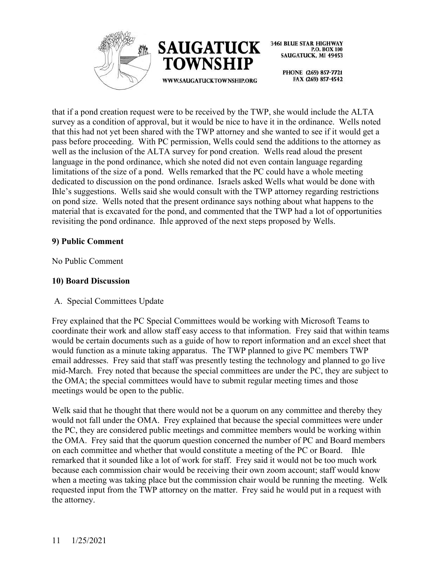



> PHONE (269) 857-7721 FAX (269) 857-4542

that if a pond creation request were to be received by the TWP, she would include the ALTA survey as a condition of approval, but it would be nice to have it in the ordinance. Wells noted that this had not yet been shared with the TWP attorney and she wanted to see if it would get a pass before proceeding. With PC permission, Wells could send the additions to the attorney as well as the inclusion of the ALTA survey for pond creation. Wells read aloud the present language in the pond ordinance, which she noted did not even contain language regarding limitations of the size of a pond. Wells remarked that the PC could have a whole meeting dedicated to discussion on the pond ordinance. Israels asked Wells what would be done with Ihle's suggestions. Wells said she would consult with the TWP attorney regarding restrictions on pond size. Wells noted that the present ordinance says nothing about what happens to the material that is excavated for the pond, and commented that the TWP had a lot of opportunities revisiting the pond ordinance. Ihle approved of the next steps proposed by Wells.

### **9) Public Comment**

No Public Comment

## **10) Board Discussion**

#### A. Special Committees Update

Frey explained that the PC Special Committees would be working with Microsoft Teams to coordinate their work and allow staff easy access to that information. Frey said that within teams would be certain documents such as a guide of how to report information and an excel sheet that would function as a minute taking apparatus. The TWP planned to give PC members TWP email addresses. Frey said that staff was presently testing the technology and planned to go live mid-March. Frey noted that because the special committees are under the PC, they are subject to the OMA; the special committees would have to submit regular meeting times and those meetings would be open to the public.

Welk said that he thought that there would not be a quorum on any committee and thereby they would not fall under the OMA. Frey explained that because the special committees were under the PC, they are considered public meetings and committee members would be working within the OMA. Frey said that the quorum question concerned the number of PC and Board members on each committee and whether that would constitute a meeting of the PC or Board. Ihle remarked that it sounded like a lot of work for staff. Frey said it would not be too much work because each commission chair would be receiving their own zoom account; staff would know when a meeting was taking place but the commission chair would be running the meeting. Welk requested input from the TWP attorney on the matter. Frey said he would put in a request with the attorney.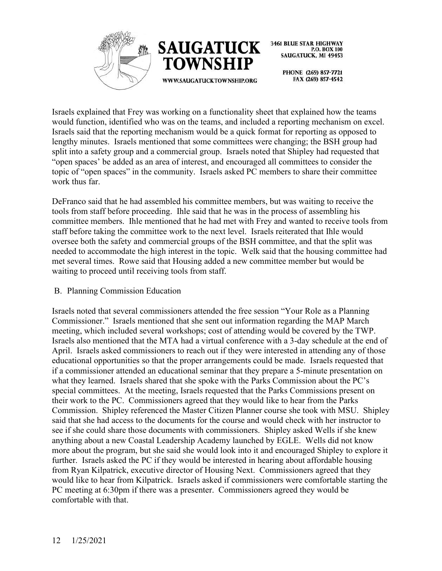



> PHONE (269) 857-7721 FAX (269) 857-4542

Israels explained that Frey was working on a functionality sheet that explained how the teams would function, identified who was on the teams, and included a reporting mechanism on excel. Israels said that the reporting mechanism would be a quick format for reporting as opposed to lengthy minutes. Israels mentioned that some committees were changing; the BSH group had split into a safety group and a commercial group. Israels noted that Shipley had requested that "open spaces' be added as an area of interest, and encouraged all committees to consider the topic of "open spaces" in the community. Israels asked PC members to share their committee work thus far.

DeFranco said that he had assembled his committee members, but was waiting to receive the tools from staff before proceeding. Ihle said that he was in the process of assembling his committee members. Ihle mentioned that he had met with Frey and wanted to receive tools from staff before taking the committee work to the next level. Israels reiterated that Ihle would oversee both the safety and commercial groups of the BSH committee, and that the split was needed to accommodate the high interest in the topic. Welk said that the housing committee had met several times. Rowe said that Housing added a new committee member but would be waiting to proceed until receiving tools from staff.

#### B. Planning Commission Education

Israels noted that several commissioners attended the free session "Your Role as a Planning Commissioner." Israels mentioned that she sent out information regarding the MAP March meeting, which included several workshops; cost of attending would be covered by the TWP. Israels also mentioned that the MTA had a virtual conference with a 3-day schedule at the end of April. Israels asked commissioners to reach out if they were interested in attending any of those educational opportunities so that the proper arrangements could be made. Israels requested that if a commissioner attended an educational seminar that they prepare a 5-minute presentation on what they learned. Israels shared that she spoke with the Parks Commission about the PC's special committees. At the meeting, Israels requested that the Parks Commissions present on their work to the PC. Commissioners agreed that they would like to hear from the Parks Commission. Shipley referenced the Master Citizen Planner course she took with MSU. Shipley said that she had access to the documents for the course and would check with her instructor to see if she could share those documents with commissioners. Shipley asked Wells if she knew anything about a new Coastal Leadership Academy launched by EGLE. Wells did not know more about the program, but she said she would look into it and encouraged Shipley to explore it further. Israels asked the PC if they would be interested in hearing about affordable housing from Ryan Kilpatrick, executive director of Housing Next. Commissioners agreed that they would like to hear from Kilpatrick. Israels asked if commissioners were comfortable starting the PC meeting at 6:30pm if there was a presenter. Commissioners agreed they would be comfortable with that.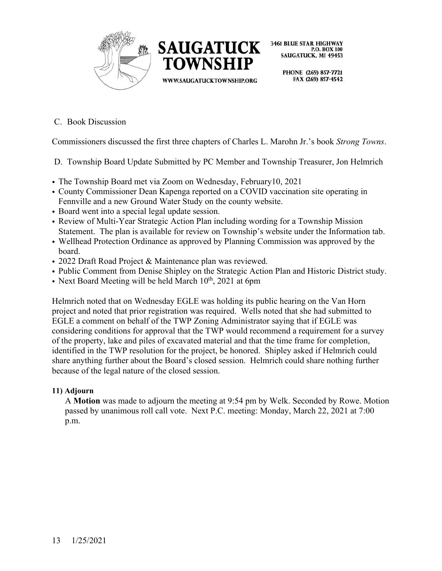



> PHONE (269) 857-7721 FAX (269) 857-4542

C. Book Discussion

Commissioners discussed the first three chapters of Charles L. Marohn Jr.'s book *Strong Towns*.

D. Township Board Update Submitted by PC Member and Township Treasurer, Jon Helmrich

- The Township Board met via Zoom on Wednesday, February 10, 2021
- County Commissioner Dean Kapenga reported on a COVID vaccination site operating in Fennville and a new Ground Water Study on the county website.
- Board went into a special legal update session.
- Review of Multi-Year Strategic Action Plan including wording for a Township Mission Statement. The plan is available for review on Township's website under the Information tab.
- Wellhead Protection Ordinance as approved by Planning Commission was approved by the board.
- 2022 Draft Road Project & Maintenance plan was reviewed.
- Public Comment from Denise Shipley on the Strategic Action Plan and Historic District study.
- Next Board Meeting will be held March 10<sup>th</sup>, 2021 at 6pm

Helmrich noted that on Wednesday EGLE was holding its public hearing on the Van Horn project and noted that prior registration was required. Wells noted that she had submitted to EGLE a comment on behalf of the TWP Zoning Administrator saying that if EGLE was considering conditions for approval that the TWP would recommend a requirement for a survey of the property, lake and piles of excavated material and that the time frame for completion, identified in the TWP resolution for the project, be honored. Shipley asked if Helmrich could share anything further about the Board's closed session. Helmrich could share nothing further because of the legal nature of the closed session.

#### **11) Adjourn**

A **Motion** was made to adjourn the meeting at 9:54 pm by Welk. Seconded by Rowe. Motion passed by unanimous roll call vote. Next P.C. meeting: Monday, March 22, 2021 at 7:00 p.m.